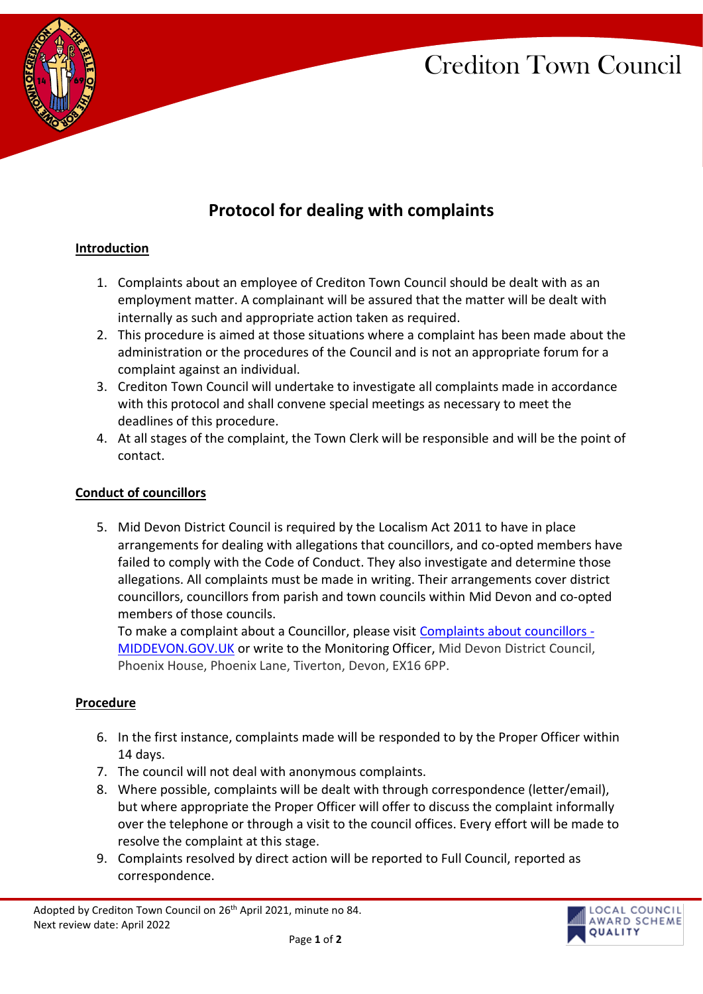# Crediton Town Council



# **Protocol for dealing with complaints**

### **Introduction**

- 1. Complaints about an employee of Crediton Town Council should be dealt with as an employment matter. A complainant will be assured that the matter will be dealt with internally as such and appropriate action taken as required.
- 2. This procedure is aimed at those situations where a complaint has been made about the administration or the procedures of the Council and is not an appropriate forum for a complaint against an individual.
- 3. Crediton Town Council will undertake to investigate all complaints made in accordance with this protocol and shall convene special meetings as necessary to meet the deadlines of this procedure.
- 4. At all stages of the complaint, the Town Clerk will be responsible and will be the point of contact.

#### **Conduct of councillors**

5. Mid Devon District Council is required by the Localism Act 2011 to have in place arrangements for dealing with allegations that councillors, and co-opted members have failed to comply with the Code of Conduct. They also investigate and determine those allegations. All complaints must be made in writing. Their arrangements cover district councillors, councillors from parish and town councils within Mid Devon and co-opted members of those councils.

To make a complaint about a Councillor, please visit [Complaints about councillors -](https://www.middevon.gov.uk/your-council/councillors-democracy/councillors/code-of-conduct-and-complaints-about-councillors/) [MIDDEVON.GOV.UK](https://www.middevon.gov.uk/your-council/councillors-democracy/councillors/code-of-conduct-and-complaints-about-councillors/) or write to the Monitoring Officer, Mid Devon District Council, Phoenix House, Phoenix Lane, Tiverton, Devon, EX16 6PP.

#### **Procedure**

- 6. In the first instance, complaints made will be responded to by the Proper Officer within 14 days.
- 7. The council will not deal with anonymous complaints.
- 8. Where possible, complaints will be dealt with through correspondence (letter/email), but where appropriate the Proper Officer will offer to discuss the complaint informally over the telephone or through a visit to the council offices. Every effort will be made to resolve the complaint at this stage.
- 9. Complaints resolved by direct action will be reported to Full Council, reported as correspondence.



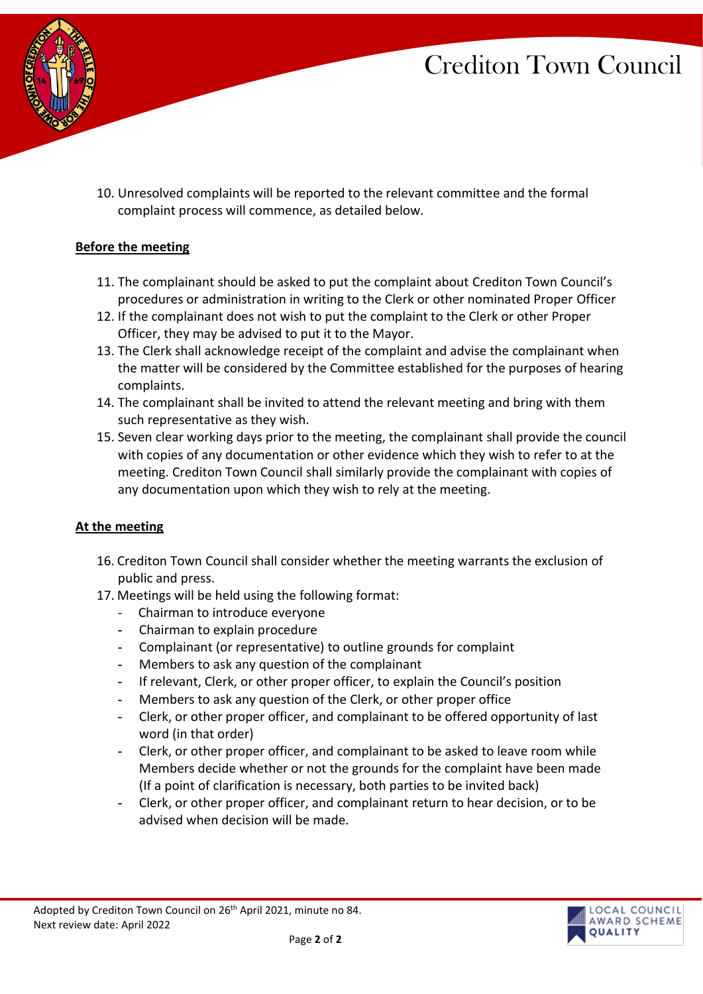# Crediton Town Council



10. Unresolved complaints will be reported to the relevant committee and the formal complaint process will commence, as detailed below.

## **Before the meeting**

- 11. The complainant should be asked to put the complaint about Crediton Town Council's procedures or administration in writing to the Clerk or other nominated Proper Officer
- 12. If the complainant does not wish to put the complaint to the Clerk or other Proper Officer, they may be advised to put it to the Mayor.
- 13. The Clerk shall acknowledge receipt of the complaint and advise the complainant when the matter will be considered by the Committee established for the purposes of hearing complaints.
- 14. The complainant shall be invited to attend the relevant meeting and bring with them such representative as they wish.
- 15. Seven clear working days prior to the meeting, the complainant shall provide the council with copies of any documentation or other evidence which they wish to refer to at the meeting. Crediton Town Council shall similarly provide the complainant with copies of any documentation upon which they wish to rely at the meeting.

#### **At the meeting**

- 16. Crediton Town Council shall consider whether the meeting warrants the exclusion of public and press.
- 17. Meetings will be held using the following format:
	- Chairman to introduce everyone
	- Chairman to explain procedure
	- Complainant (or representative) to outline grounds for complaint
	- Members to ask any question of the complainant
	- If relevant, Clerk, or other proper officer, to explain the Council's position
	- Members to ask any question of the Clerk, or other proper office
	- Clerk, or other proper officer, and complainant to be offered opportunity of last word (in that order)
	- Clerk, or other proper officer, and complainant to be asked to leave room while Members decide whether or not the grounds for the complaint have been made (If a point of clarification is necessary, both parties to be invited back)
	- Clerk, or other proper officer, and complainant return to hear decision, or to be advised when decision will be made.